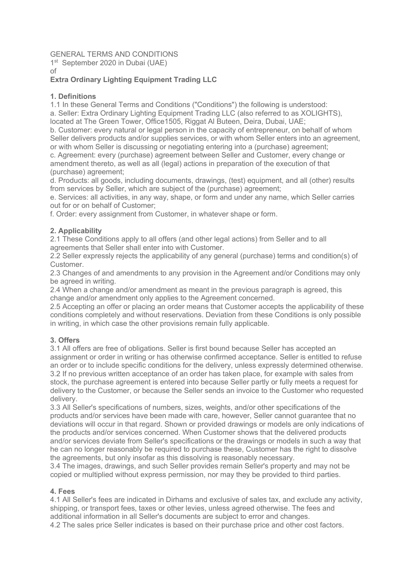# GENERAL TERMS AND CONDITIONS

1<sup>st</sup> September 2020 in Dubai (UAE)

of

# **Extra Ordinary Lighting Equipment Trading LLC**

### **1. Definitions**

1.1 In these General Terms and Conditions ("Conditions") the following is understood: a. Seller: Extra Ordinary Lighting Equipment Trading LLC (also referred to as XOLIGHTS), located at The Green Tower, Office1505, Riggat Al Buteen, Deira, Dubai, UAE;

b. Customer: every natural or legal person in the capacity of entrepreneur, on behalf of whom Seller delivers products and/or supplies services, or with whom Seller enters into an agreement, or with whom Seller is discussing or negotiating entering into a (purchase) agreement;

c. Agreement: every (purchase) agreement between Seller and Customer, every change or amendment thereto, as well as all (legal) actions in preparation of the execution of that (purchase) agreement;

d. Products: all goods, including documents, drawings, (test) equipment, and all (other) results from services by Seller, which are subject of the (purchase) agreement;

e. Services: all activities, in any way, shape, or form and under any name, which Seller carries out for or on behalf of Customer;

f. Order: every assignment from Customer, in whatever shape or form.

# **2. Applicability**

2.1 These Conditions apply to all offers (and other legal actions) from Seller and to all agreements that Seller shall enter into with Customer.

2.2 Seller expressly rejects the applicability of any general (purchase) terms and condition(s) of Customer.

2.3 Changes of and amendments to any provision in the Agreement and/or Conditions may only be agreed in writing.

2.4 When a change and/or amendment as meant in the previous paragraph is agreed, this change and/or amendment only applies to the Agreement concerned.

2.5 Accepting an offer or placing an order means that Customer accepts the applicability of these conditions completely and without reservations. Deviation from these Conditions is only possible in writing, in which case the other provisions remain fully applicable.

# **3. Offers**

3.1 All offers are free of obligations. Seller is first bound because Seller has accepted an assignment or order in writing or has otherwise confirmed acceptance. Seller is entitled to refuse an order or to include specific conditions for the delivery, unless expressly determined otherwise. 3.2 If no previous written acceptance of an order has taken place, for example with sales from stock, the purchase agreement is entered into because Seller partly or fully meets a request for delivery to the Customer, or because the Seller sends an invoice to the Customer who requested delivery.

3.3 All Seller's specifications of numbers, sizes, weights, and/or other specifications of the products and/or services have been made with care, however, Seller cannot guarantee that no deviations will occur in that regard. Shown or provided drawings or models are only indications of the products and/or services concerned. When Customer shows that the delivered products and/or services deviate from Seller's specifications or the drawings or models in such a way that he can no longer reasonably be required to purchase these, Customer has the right to dissolve the agreements, but only insofar as this dissolving is reasonably necessary.

3.4 The images, drawings, and such Seller provides remain Seller's property and may not be copied or multiplied without express permission, nor may they be provided to third parties.

#### **4. Fees**

4.1 All Seller's fees are indicated in Dirhams and exclusive of sales tax, and exclude any activity, shipping, or transport fees, taxes or other levies, unless agreed otherwise. The fees and additional information in all Seller's documents are subject to error and changes.

4.2 The sales price Seller indicates is based on their purchase price and other cost factors.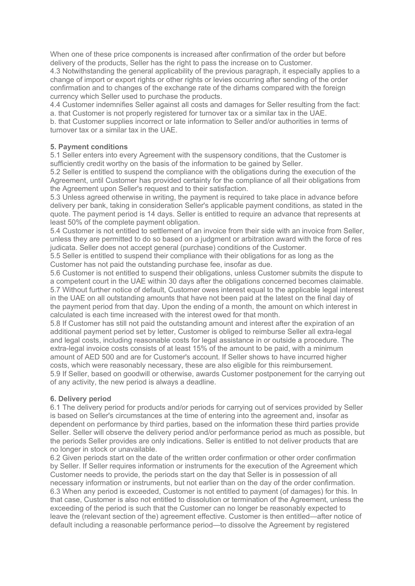When one of these price components is increased after confirmation of the order but before delivery of the products, Seller has the right to pass the increase on to Customer.

4.3 Notwithstanding the general applicability of the previous paragraph, it especially applies to a change of import or export rights or other rights or levies occurring after sending of the order confirmation and to changes of the exchange rate of the dirhams compared with the foreign currency which Seller used to purchase the products.

4.4 Customer indemnifies Seller against all costs and damages for Seller resulting from the fact: a. that Customer is not properly registered for turnover tax or a similar tax in the UAE.

b. that Customer supplies incorrect or late information to Seller and/or authorities in terms of turnover tax or a similar tax in the UAE.

### **5. Payment conditions**

5.1 Seller enters into every Agreement with the suspensory conditions, that the Customer is sufficiently credit worthy on the basis of the information to be gained by Seller.

5.2 Seller is entitled to suspend the compliance with the obligations during the execution of the Agreement, until Customer has provided certainty for the compliance of all their obligations from the Agreement upon Seller's request and to their satisfaction.

5.3 Unless agreed otherwise in writing, the payment is required to take place in advance before delivery per bank, taking in consideration Seller's applicable payment conditions, as stated in the quote. The payment period is 14 days. Seller is entitled to require an advance that represents at least 50% of the complete payment obligation.

5.4 Customer is not entitled to settlement of an invoice from their side with an invoice from Seller, unless they are permitted to do so based on a judgment or arbitration award with the force of res judicata. Seller does not accept general (purchase) conditions of the Customer.

5.5 Seller is entitled to suspend their compliance with their obligations for as long as the Customer has not paid the outstanding purchase fee, insofar as due.

5.6 Customer is not entitled to suspend their obligations, unless Customer submits the dispute to a competent court in the UAE within 30 days after the obligations concerned becomes claimable. 5.7 Without further notice of default, Customer owes interest equal to the applicable legal interest in the UAE on all outstanding amounts that have not been paid at the latest on the final day of the payment period from that day. Upon the ending of a month, the amount on which interest in calculated is each time increased with the interest owed for that month.

5.8 If Customer has still not paid the outstanding amount and interest after the expiration of an additional payment period set by letter, Customer is obliged to reimburse Seller all extra-legal and legal costs, including reasonable costs for legal assistance in or outside a procedure. The extra-legal invoice costs consists of at least 15% of the amount to be paid, with a minimum amount of AED 500 and are for Customer's account. If Seller shows to have incurred higher costs, which were reasonably necessary, these are also eligible for this reimbursement. 5.9 If Seller, based on goodwill or otherwise, awards Customer postponement for the carrying out of any activity, the new period is always a deadline.

# **6. Delivery period**

6.1 The delivery period for products and/or periods for carrying out of services provided by Seller is based on Seller's circumstances at the time of entering into the agreement and, insofar as dependent on performance by third parties, based on the information these third parties provide Seller. Seller will observe the delivery period and/or performance period as much as possible, but the periods Seller provides are only indications. Seller is entitled to not deliver products that are no longer in stock or unavailable.

6.2 Given periods start on the date of the written order confirmation or other order confirmation by Seller. If Seller requires information or instruments for the execution of the Agreement which Customer needs to provide, the periods start on the day that Seller is in possession of all necessary information or instruments, but not earlier than on the day of the order confirmation. 6.3 When any period is exceeded, Customer is not entitled to payment (of damages) for this. In that case, Customer is also not entitled to dissolution or termination of the Agreement, unless the exceeding of the period is such that the Customer can no longer be reasonably expected to leave the (relevant section of the) agreement effective. Customer is then entitled—after notice of default including a reasonable performance period—to dissolve the Agreement by registered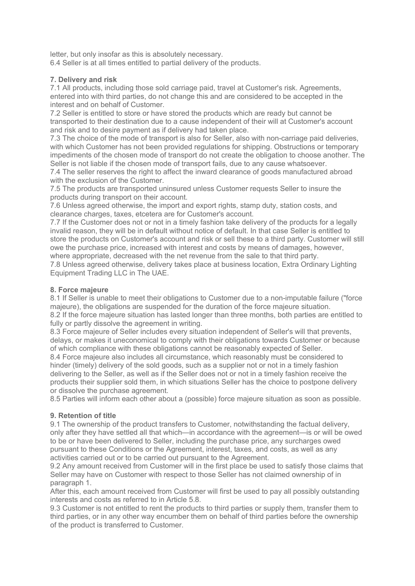letter, but only insofar as this is absolutely necessary.

6.4 Seller is at all times entitled to partial delivery of the products.

### **7. Delivery and risk**

7.1 All products, including those sold carriage paid, travel at Customer's risk. Agreements, entered into with third parties, do not change this and are considered to be accepted in the interest and on behalf of Customer.

7.2 Seller is entitled to store or have stored the products which are ready but cannot be transported to their destination due to a cause independent of their will at Customer's account and risk and to desire payment as if delivery had taken place.

7.3 The choice of the mode of transport is also for Seller, also with non-carriage paid deliveries, with which Customer has not been provided regulations for shipping. Obstructions or temporary impediments of the chosen mode of transport do not create the obligation to choose another. The Seller is not liable if the chosen mode of transport fails, due to any cause whatsoever.

7.4 The seller reserves the right to affect the inward clearance of goods manufactured abroad with the exclusion of the Customer.

7.5 The products are transported uninsured unless Customer requests Seller to insure the products during transport on their account.

7.6 Unless agreed otherwise, the import and export rights, stamp duty, station costs, and clearance charges, taxes, etcetera are for Customer's account.

7.7 If the Customer does not or not in a timely fashion take delivery of the products for a legally invalid reason, they will be in default without notice of default. In that case Seller is entitled to store the products on Customer's account and risk or sell these to a third party. Customer will still owe the purchase price, increased with interest and costs by means of damages, however, where appropriate, decreased with the net revenue from the sale to that third party.

7.8 Unless agreed otherwise, delivery takes place at business location, Extra Ordinary Lighting Equipment Trading LLC in The UAE.

### **8. Force majeure**

8.1 If Seller is unable to meet their obligations to Customer due to a non-imputable failure ("force majeure), the obligations are suspended for the duration of the force majeure situation. 8.2 If the force majeure situation has lasted longer than three months, both parties are entitled to fully or partly dissolve the agreement in writing.

8.3 Force majeure of Seller includes every situation independent of Seller's will that prevents, delays, or makes it uneconomical to comply with their obligations towards Customer or because of which compliance with these obligations cannot be reasonably expected of Seller.

8.4 Force majeure also includes all circumstance, which reasonably must be considered to hinder (timely) delivery of the sold goods, such as a supplier not or not in a timely fashion delivering to the Seller, as well as if the Seller does not or not in a timely fashion receive the products their supplier sold them, in which situations Seller has the choice to postpone delivery or dissolve the purchase agreement.

8.5 Parties will inform each other about a (possible) force majeure situation as soon as possible.

# **9. Retention of title**

9.1 The ownership of the product transfers to Customer, notwithstanding the factual delivery, only after they have settled all that which—in accordance with the agreement—is or will be owed to be or have been delivered to Seller, including the purchase price, any surcharges owed pursuant to these Conditions or the Agreement, interest, taxes, and costs, as well as any activities carried out or to be carried out pursuant to the Agreement.

9.2 Any amount received from Customer will in the first place be used to satisfy those claims that Seller may have on Customer with respect to those Seller has not claimed ownership of in paragraph 1.

After this, each amount received from Customer will first be used to pay all possibly outstanding interests and costs as referred to in Article 5.8.

9.3 Customer is not entitled to rent the products to third parties or supply them, transfer them to third parties, or in any other way encumber them on behalf of third parties before the ownership of the product is transferred to Customer.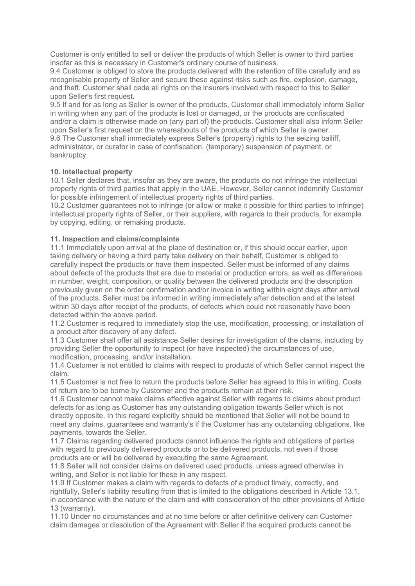Customer is only entitled to sell or deliver the products of which Seller is owner to third parties insofar as this is necessary in Customer's ordinary course of business.

9.4 Customer is obliged to store the products delivered with the retention of title carefully and as recognisable property of Seller and secure these against risks such as fire, explosion, damage, and theft. Customer shall cede all rights on the insurers involved with respect to this to Seller upon Seller's first request.

9.5 If and for as long as Seller is owner of the products, Customer shall immediately inform Seller in writing when any part of the products is lost or damaged, or the products are confiscated and/or a claim is otherwise made on (any part of) the products. Customer shall also inform Seller upon Seller's first request on the whereabouts of the products of which Seller is owner. 9.6 The Customer shall immediately express Seller's (property) rights to the seizing bailiff, administrator, or curator in case of confiscation, (temporary) suspension of payment, or bankruptcy.

# **10. Intellectual property**

10.1 Seller declares that, insofar as they are aware, the products do not infringe the intellectual property rights of third parties that apply in the UAE. However, Seller cannot indemnify Customer for possible infringement of intellectual property rights of third parties.

10.2 Customer guarantees not to infringe (or allow or make it possible for third parties to infringe) intellectual property rights of Seller, or their suppliers, with regards to their products, for example by copying, editing, or remaking products.

### **11. Inspection and claims/complaints**

11.1 Immediately upon arrival at the place of destination or, if this should occur earlier, upon taking delivery or having a third party take delivery on their behalf, Customer is obliged to carefully inspect the products or have them inspected. Seller must be informed of any claims about defects of the products that are due to material or production errors, as well as differences in number, weight, composition, or quality between the delivered products and the description previously given on the order confirmation and/or invoice in writing within eight days after arrival of the products. Seller must be informed in writing immediately after detection and at the latest within 30 days after receipt of the products, of defects which could not reasonably have been detected within the above period.

11.2 Customer is required to immediately stop the use, modification, processing, or installation of a product after discovery of any defect.

11.3 Customer shall offer all assistance Seller desires for investigation of the claims, including by providing Seller the opportunity to inspect (or have inspected) the circumstances of use, modification, processing, and/or installation.

11.4 Customer is not entitled to claims with respect to products of which Seller cannot inspect the claim.

11.5 Customer is not free to return the products before Seller has agreed to this in writing. Costs of return are to be borne by Customer and the products remain at their risk.

11.6 Customer cannot make claims effective against Seller with regards to claims about product defects for as long as Customer has any outstanding obligation towards Seller which is not directly opposite. In this regard explicitly should be mentioned that Seller will not be bound to meet any claims, guarantees and warranty's if the Customer has any outstanding obligations, like payments, towards the Seller.

11.7 Claims regarding delivered products cannot influence the rights and obligations of parties with regard to previously delivered products or to be delivered products, not even if those products are or will be delivered by executing the same Agreement.

11.8 Seller will not consider claims on delivered used products, unless agreed otherwise in writing, and Seller is not liable for these in any respect.

11.9 If Customer makes a claim with regards to defects of a product timely, correctly, and rightfully, Seller's liability resulting from that is limited to the obligations described in Article 13.1, in accordance with the nature of the claim and with consideration of the other provisions of Article 13 (warranty).

11.10 Under no circumstances and at no time before or after definitive delivery can Customer claim damages or dissolution of the Agreement with Seller if the acquired products cannot be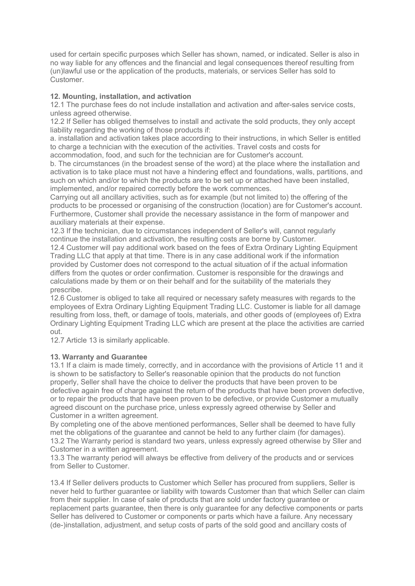used for certain specific purposes which Seller has shown, named, or indicated. Seller is also in no way liable for any offences and the financial and legal consequences thereof resulting from (un)lawful use or the application of the products, materials, or services Seller has sold to Customer.

### **12. Mounting, installation, and activation**

12.1 The purchase fees do not include installation and activation and after-sales service costs, unless agreed otherwise.

12.2 If Seller has obliged themselves to install and activate the sold products, they only accept liability regarding the working of those products if:

a. installation and activation takes place according to their instructions, in which Seller is entitled to charge a technician with the execution of the activities. Travel costs and costs for accommodation, food, and such for the technician are for Customer's account.

b. The circumstances (in the broadest sense of the word) at the place where the installation and activation is to take place must not have a hindering effect and foundations, walls, partitions, and such on which and/or to which the products are to be set up or attached have been installed, implemented, and/or repaired correctly before the work commences.

Carrying out all ancillary activities, such as for example (but not limited to) the offering of the products to be processed or organising of the construction (location) are for Customer's account. Furthermore, Customer shall provide the necessary assistance in the form of manpower and auxiliary materials at their expense.

12.3 If the technician, due to circumstances independent of Seller's will, cannot regularly continue the installation and activation, the resulting costs are borne by Customer.

12.4 Customer will pay additional work based on the fees of Extra Ordinary Lighting Equipment Trading LLC that apply at that time. There is in any case additional work if the information provided by Customer does not correspond to the actual situation of if the actual information differs from the quotes or order confirmation. Customer is responsible for the drawings and calculations made by them or on their behalf and for the suitability of the materials they prescribe.

12.6 Customer is obliged to take all required or necessary safety measures with regards to the employees of Extra Ordinary Lighting Equipment Trading LLC. Customer is liable for all damage resulting from loss, theft, or damage of tools, materials, and other goods of (employees of) Extra Ordinary Lighting Equipment Trading LLC which are present at the place the activities are carried out.

12.7 Article 13 is similarly applicable.

# **13. Warranty and Guarantee**

13.1 If a claim is made timely, correctly, and in accordance with the provisions of Article 11 and it is shown to be satisfactory to Seller's reasonable opinion that the products do not function properly, Seller shall have the choice to deliver the products that have been proven to be defective again free of charge against the return of the products that have been proven defective, or to repair the products that have been proven to be defective, or provide Customer a mutually agreed discount on the purchase price, unless expressly agreed otherwise by Seller and Customer in a written agreement.

By completing one of the above mentioned performances, Seller shall be deemed to have fully met the obligations of the guarantee and cannot be held to any further claim (for damages). 13.2 The Warranty period is standard two years, unless expressly agreed otherwise by Sller and Customer in a written agreement.

13.3 The warranty period will always be effective from delivery of the products and or services from Seller to Customer.

13.4 If Seller delivers products to Customer which Seller has procured from suppliers, Seller is never held to further guarantee or liability with towards Customer than that which Seller can claim from their supplier. In case of sale of products that are sold under factory guarantee or replacement parts guarantee, then there is only guarantee for any defective components or parts Seller has delivered to Customer or components or parts which have a failure. Any necessary (de-)installation, adjustment, and setup costs of parts of the sold good and ancillary costs of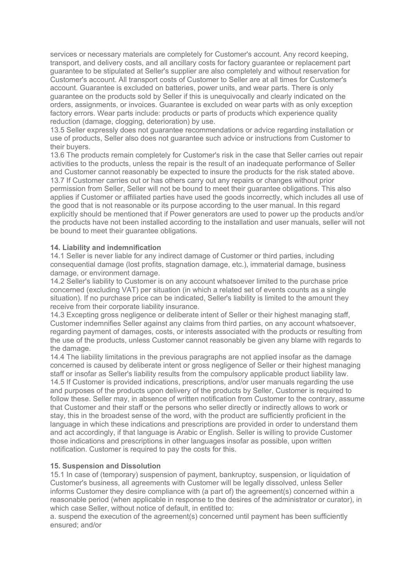services or necessary materials are completely for Customer's account. Any record keeping, transport, and delivery costs, and all ancillary costs for factory guarantee or replacement part guarantee to be stipulated at Seller's supplier are also completely and without reservation for Customer's account. All transport costs of Customer to Seller are at all times for Customer's account. Guarantee is excluded on batteries, power units, and wear parts. There is only guarantee on the products sold by Seller if this is unequivocally and clearly indicated on the orders, assignments, or invoices. Guarantee is excluded on wear parts with as only exception factory errors. Wear parts include: products or parts of products which experience quality reduction (damage, clogging, deterioration) by use.

13.5 Seller expressly does not guarantee recommendations or advice regarding installation or use of products, Seller also does not guarantee such advice or instructions from Customer to their buyers.

13.6 The products remain completely for Customer's risk in the case that Seller carries out repair activities to the products, unless the repair is the result of an inadequate performance of Seller and Customer cannot reasonably be expected to insure the products for the risk stated above. 13.7 If Customer carries out or has others carry out any repairs or changes without prior permission from Seller, Seller will not be bound to meet their guarantee obligations. This also applies if Customer or affiliated parties have used the goods incorrectly, which includes all use of the good that is not reasonable or its purpose according to the user manual. In this regard explicitly should be mentioned that if Power generators are used to power up the products and/or the products have not been installed according to the installation and user manuals, seller will not be bound to meet their guarantee obligations.

#### **14. Liability and indemnification**

14.1 Seller is never liable for any indirect damage of Customer or third parties, including consequential damage (lost profits, stagnation damage, etc.), immaterial damage, business damage, or environment damage.

14.2 Seller's liability to Customer is on any account whatsoever limited to the purchase price concerned (excluding VAT) per situation (in which a related set of events counts as a single situation). If no purchase price can be indicated, Seller's liability is limited to the amount they receive from their corporate liability insurance.

14.3 Excepting gross negligence or deliberate intent of Seller or their highest managing staff, Customer indemnifies Seller against any claims from third parties, on any account whatsoever, regarding payment of damages, costs, or interests associated with the products or resulting from the use of the products, unless Customer cannot reasonably be given any blame with regards to the damage.

14.4 The liability limitations in the previous paragraphs are not applied insofar as the damage concerned is caused by deliberate intent or gross negligence of Seller or their highest managing staff or insofar as Seller's liability results from the compulsory applicable product liability law. 14.5 If Customer is provided indications, prescriptions, and/or user manuals regarding the use and purposes of the products upon delivery of the products by Seller, Customer is required to follow these. Seller may, in absence of written notification from Customer to the contrary, assume that Customer and their staff or the persons who seller directly or indirectly allows to work or stay, this in the broadest sense of the word, with the product are sufficiently proficient in the language in which these indications and prescriptions are provided in order to understand them and act accordingly, if that language is Arabic or English. Seller is willing to provide Customer those indications and prescriptions in other languages insofar as possible, upon written notification. Customer is required to pay the costs for this.

#### **15. Suspension and Dissolution**

15.1 In case of (temporary) suspension of payment, bankruptcy, suspension, or liquidation of Customer's business, all agreements with Customer will be legally dissolved, unless Seller informs Customer they desire compliance with (a part of) the agreement(s) concerned within a reasonable period (when applicable in response to the desires of the administrator or curator), in which case Seller, without notice of default, in entitled to:

a. suspend the execution of the agreement(s) concerned until payment has been sufficiently ensured; and/or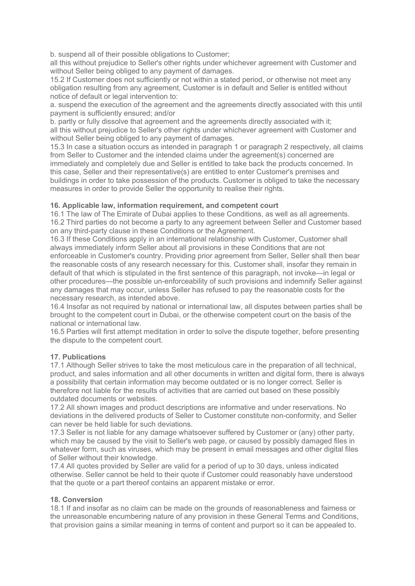b. suspend all of their possible obligations to Customer;

all this without prejudice to Seller's other rights under whichever agreement with Customer and without Seller being obliged to any payment of damages.

15.2 If Customer does not sufficiently or not within a stated period, or otherwise not meet any obligation resulting from any agreement, Customer is in default and Seller is entitled without notice of default or legal intervention to:

a. suspend the execution of the agreement and the agreements directly associated with this until payment is sufficiently ensured; and/or

b. partly or fully dissolve that agreement and the agreements directly associated with it; all this without prejudice to Seller's other rights under whichever agreement with Customer and without Seller being obliged to any payment of damages.

15.3 In case a situation occurs as intended in paragraph 1 or paragraph 2 respectively, all claims from Seller to Customer and the intended claims under the agreement(s) concerned are immediately and completely due and Seller is entitled to take back the products concerned. In this case, Seller and their representative(s) are entitled to enter Customer's premises and buildings in order to take possession of the products. Customer is obliged to take the necessary measures in order to provide Seller the opportunity to realise their rights.

### **16. Applicable law, information requirement, and competent court**

16.1 The law of The Emirate of Dubai applies to these Conditions, as well as all agreements. 16.2 Third parties do not become a party to any agreement between Seller and Customer based on any third-party clause in these Conditions or the Agreement.

16.3 If these Conditions apply in an international relationship with Customer, Customer shall always immediately inform Seller about all provisions in these Conditions that are not enforceable in Customer's country. Providing prior agreement from Seller, Seller shall then bear the reasonable costs of any research necessary for this. Customer shall, insofar they remain in default of that which is stipulated in the first sentence of this paragraph, not invoke—in legal or other procedures—the possible un-enforceability of such provisions and indemnify Seller against any damages that may occur, unless Seller has refused to pay the reasonable costs for the necessary research, as intended above.

16.4 Insofar as not required by national or international law, all disputes between parties shall be brought to the competent court in Dubai, or the otherwise competent court on the basis of the national or international law.

16.5 Parties will first attempt meditation in order to solve the dispute together, before presenting the dispute to the competent court.

#### **17. Publications**

17.1 Although Seller strives to take the most meticulous care in the preparation of all technical, product, and sales information and all other documents in written and digital form, there is always a possibility that certain information may become outdated or is no longer correct. Seller is therefore not liable for the results of activities that are carried out based on these possibly outdated documents or websites.

17.2 All shown images and product descriptions are informative and under reservations. No deviations in the delivered products of Seller to Customer constitute non-conformity, and Seller can never be held liable for such deviations.

17.3 Seller is not liable for any damage whatsoever suffered by Customer or (any) other party, which may be caused by the visit to Seller's web page, or caused by possibly damaged files in whatever form, such as viruses, which may be present in email messages and other digital files of Seller without their knowledge.

17.4 All quotes provided by Seller are valid for a period of up to 30 days, unless indicated otherwise. Seller cannot be held to their quote if Customer could reasonably have understood that the quote or a part thereof contains an apparent mistake or error.

#### **18. Conversion**

18.1 If and insofar as no claim can be made on the grounds of reasonableness and fairness or the unreasonable encumbering nature of any provision in these General Terms and Conditions, that provision gains a similar meaning in terms of content and purport so it can be appealed to.